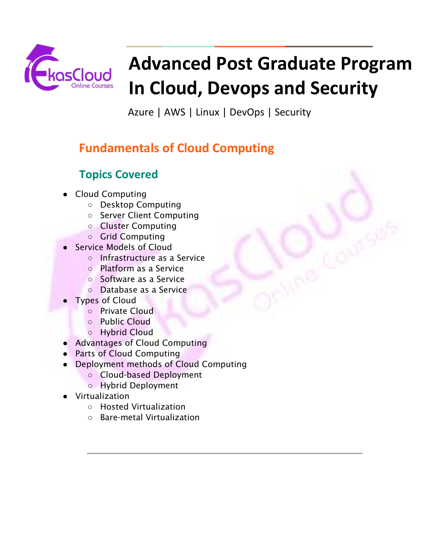

# **Advanced Post Graduate Program In Cloud, Devops and Security**

Azure | AWS | Linux | DevOps | Security

# **Fundamentals of Cloud Computing**

# **Topics Covered**

- **Cloud Computing** 
	- Desktop Computing
	- Server Client Computing
	- Cluster Computing
	- Grid Computing
- Service Models of Cloud
	- Infrastructure as a Service
	- Platform as a Service
	- Software as a Service
	- Database as a Service
- **Types of Cloud** 
	- Private Cloud
	- Public Cloud
	- Hybrid Cloud
- Advantages of Cloud Computing
- Parts of Cloud Computing
- Deployment methods of Cloud Computing
	- Cloud-based Deployment
	- Hybrid Deployment
- Virtualization
	- Hosted Virtualization
	- Bare-metal Virtualization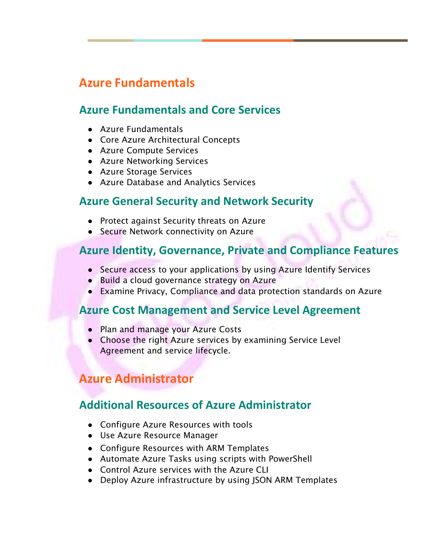## **Azure Fundamentals**

#### **Azure Fundamentals and Core Services**

- Azure Fundamentals
- Core Azure Architectural Concepts
- Azure Compute Services
- Azure Networking Services
- Azure Storage Services
- Azure Database and Analytics Services

#### **Azure General Security and Network Security**

- Protect against Security threats on Azure
- Secure Network connectivity on Azure

## **Azure Identity, Governance, Private and Compliance Features**

GE

- Secure access to your applications by using Azure Identify Services
- Build a cloud governance strategy on Azure
- Examine Privacy, Compliance and data protection standards on Azure

#### **Azure Cost Management and Service Level Agreement**

- Plan and manage your Azure Costs
- Choose the right Azure services by examining Service Level Agreement and service lifecycle.

## **Azure Administrator**

#### **Additional Resources of Azure Administrator**

- Configure Azure Resources with tools
- Use Azure Resource Manager
- Configure Resources with ARM Templates
- Automate Azure Tasks using scripts with PowerShell
- Control Azure services with the Azure CLI
- Deploy Azure infrastructure by using JSON ARM Templates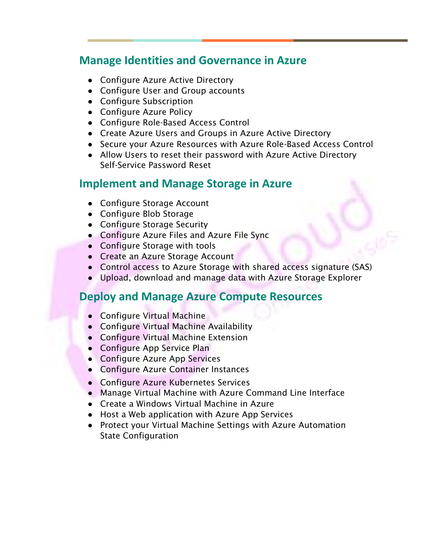#### **Manage Identities and Governance in Azure**

- Configure Azure Active Directory
- Configure User and Group accounts
- Configure Subscription
- Configure Azure Policy
- Configure Role-Based Access Control
- Create Azure Users and Groups in Azure Active Directory
- Secure your Azure Resources with Azure Role-Based Access Control

GE

● Allow Users to reset their password with Azure Active Directory Self-Service Password Reset

#### **Implement and Manage Storage in Azure**

- Configure Storage Account
- Configure Blob Storage
- Configure Storage Security
- Configure Azure Files and Azure File Sync
- Configure Storage with tools
- Create an Azure Storage Account
- Control access to Azure Storage with shared access signature (SAS)
- Upload, download and manage data with Azure Storage Explorer

#### **Deploy and Manage Azure Compute Resources**

- Configure Virtual Machine
- Configure Virtual Machine Availability
- Configure Virtual Machine Extension
- Configure App Service Plan
- Configure Azure App Services
- Configure Azure Container Instances
- Configure Azure Kubernetes Services
- Manage Virtual Machine with Azure Command Line Interface
- Create a Windows Virtual Machine in Azure
- Host a Web application with Azure App Services
- Protect your Virtual Machine Settings with Azure Automation State Configuration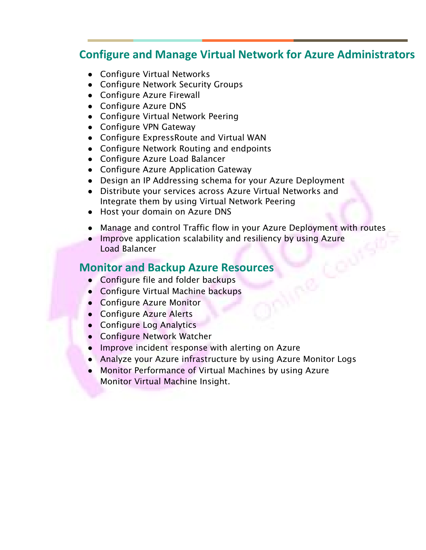#### GE **Configure and Manage Virtual Network for Azure Administrators**

- Configure Virtual Networks
- Configure Network Security Groups
- Configure Azure Firewall
- Configure Azure DNS
- Configure Virtual Network Peering
- Configure VPN Gateway
- Configure ExpressRoute and Virtual WAN
- Configure Network Routing and endpoints
- Configure Azure Load Balancer
- Configure Azure Application Gateway
- Design an IP Addressing schema for your Azure Deployment
- Distribute your services across Azure Virtual Networks and Integrate them by using Virtual Network Peering
- Host your domain on Azure DNS
- Manage and control Traffic flow in your Azure Deployment with routes
- Improve application scalability and resiliency by using Azure Load Balancer

#### **Monitor and Backup Azure Resources**

- Configure file and folder backups
- Configure Virtual Machine backups
- Configure Azure Monitor
- Configure Azure Alerts
- Configure Log Analytics
- Configure Network Watcher
- Improve incident response with alerting on Azure
- Analyze your Azure infrastructure by using Azure Monitor Logs
- Monitor Performance of Virtual Machines by using Azure Monitor Virtual Machine Insight.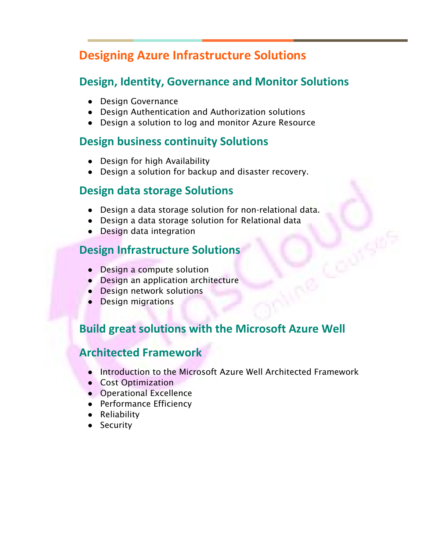## **Designing Azure Infrastructure Solutions**

#### **Design, Identity, Governance and Monitor Solutions**

GE

- Design Governance
- Design Authentication and Authorization solutions
- Design a solution to log and monitor Azure Resource

#### **Design business continuity Solutions**

- Design for high Availability
- Design a solution for backup and disaster recovery.

#### **Design data storage Solutions**

- Design a data storage solution for non-relational data.
- Design a data storage solution for Relational data
- Design data integration

## **Design Infrastructure Solutions**

- Design a compute solution
- Design an application architecture
- Design network solutions
- Design migrations

#### **Build great solutions with the Microsoft Azure Well**

#### **Architected Framework**

- Introduction to the Microsoft Azure Well Architected Framework
- Cost Optimization
- Operational Excellence
- Performance Efficiency
- Reliability
- Security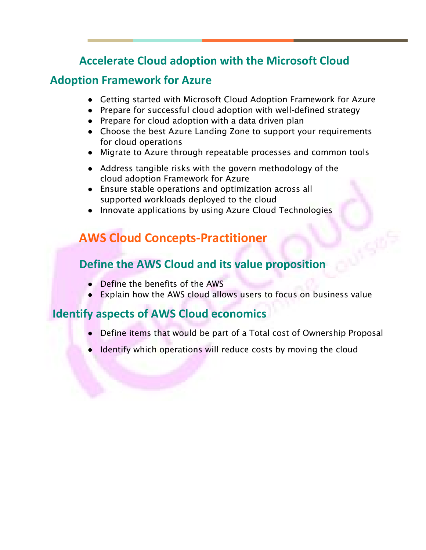## <sup>19</sup> **Accelerate Cloud adoption with the Microsoft Cloud**

#### **Adoption Framework for Azure**

● Getting started with Microsoft Cloud Adoption Framework for Azure

GE

- Prepare for successful cloud adoption with well-defined strategy
- Prepare for cloud adoption with a data driven plan
- Choose the best Azure Landing Zone to support your requirements for cloud operations
- Migrate to Azure through repeatable processes and common tools
- Address tangible risks with the govern methodology of the cloud adoption Framework for Azure
- Ensure stable operations and optimization across all supported workloads deployed to the cloud
- Innovate applications by using Azure Cloud Technologies

# **AWS Cloud Concepts-Practitioner**

#### **Define the AWS Cloud and its value proposition**

- Define the benefits of the AWS
- Explain how the AWS cloud allows users to focus on business value

#### **Identify aspects of AWS Cloud economics**

- Define items that would be part of a Total cost of Ownership Proposal
- Identify which operations will reduce costs by moving the cloud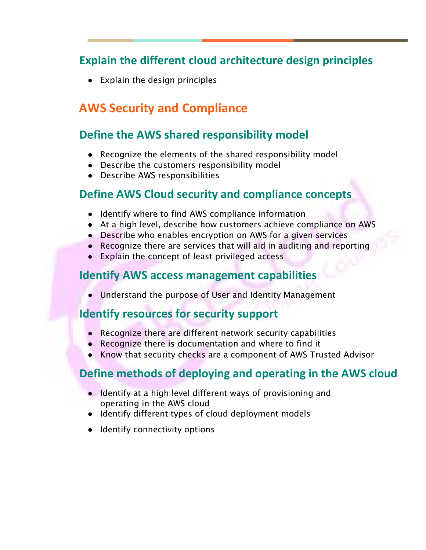## <sup>19</sup> **Explain the different cloud architecture design principles**

GE

● Explain the design principles

## **AWS Security and Compliance**

#### **Define the AWS shared responsibility model**

- Recognize the elements of the shared responsibility model
- Describe the customers responsibility model
- Describe AWS responsibilities

#### **Define AWS Cloud security and compliance concepts**

- Identify where to find AWS compliance information
- At a high level, describe how customers achieve compliance on AWS
- Describe who enables encryption on AWS for a given services
- Recognize there are services that will aid in auditing and reporting
- Explain the concept of least privileged access

#### **Identify AWS access management capabilities**

Understand the purpose of User and Identity Management

#### **Identify resources for security support**

- Recognize there are different network security capabilities
- Recognize there is documentation and where to find it
- Know that security checks are a component of AWS Trusted Advisor

## **Define methods of deploying and operating in the AWS cloud**

- Identify at a high level different ways of provisioning and operating in the AWS cloud
- Identify different types of cloud deployment models
- Identify connectivity options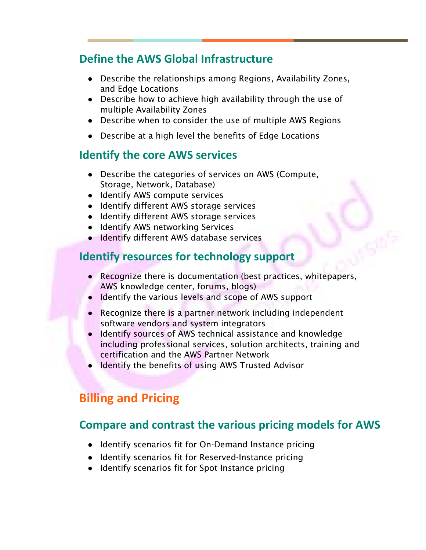#### <sup>19</sup> **Define the AWS Global Infrastructure**

● Describe the relationships among Regions, Availability Zones, and Edge Locations

GE

- Describe how to achieve high availability through the use of multiple Availability Zones
- Describe when to consider the use of multiple AWS Regions
- Describe at a high level the benefits of Edge Locations

#### **Identify the core AWS services**

- Describe the categories of services on AWS (Compute, Storage, Network, Database)
- Identify AWS compute services
- Identify different AWS storage services
- Identify different AWS storage services
- Identify AWS networking Services
- Identify different AWS database services

#### **Identify resources for technology support**

- Recognize there is documentation (best practices, whitepapers, AWS knowledge center, forums, blogs)
- Identify the various levels and scope of AWS support
- Recognize there is a partner network including independent software vendors and system integrators
- Identify sources of AWS technical assistance and knowledge including professional services, solution architects, training and certification and the AWS Partner Network
- Identify the benefits of using AWS Trusted Advisor

## **Billing and Pricing**

#### **Compare and contrast the various pricing models for AWS**

- Identify scenarios fit for On-Demand Instance pricing
- Identify scenarios fit for Reserved-Instance pricing
- Identify scenarios fit for Spot Instance pricing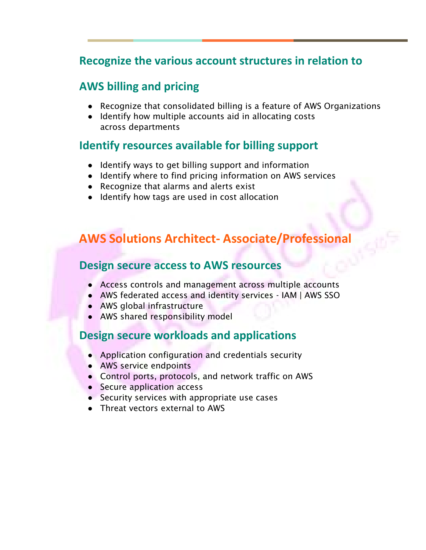#### <sup>19</sup> **Recognize the various account structures in relation to**

#### **AWS billing and pricing**

● Recognize that consolidated billing is a feature of AWS Organizations

GE

● Identify how multiple accounts aid in allocating costs across departments

#### **Identify resources available for billing support**

- Identify ways to get billing support and information
- Identify where to find pricing information on AWS services
- Recognize that alarms and alerts exist
- Identify how tags are used in cost allocation

# **AWS Solutions Architect- Associate/Professional**

#### **Design secure access to AWS resources**

- Access controls and management across multiple accounts
- AWS federated access and identity services IAM | AWS SSO
- AWS global infrastructure
- AWS shared responsibility model

#### **Design secure workloads and applications**

- Application configuration and credentials security
- AWS service endpoints
- Control ports, protocols, and network traffic on AWS
- Secure application access
- Security services with appropriate use cases
- Threat vectors external to AWS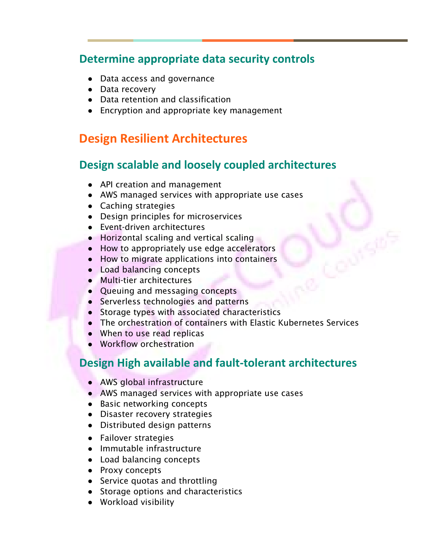#### <sup>19</sup> **Determine appropriate data security controls**

GE

- Data access and governance
- Data recovery
- Data retention and classification
- Encryption and appropriate key management

## **Design Resilient Architectures**

#### **Design scalable and loosely coupled architectures**

- API creation and management
- AWS managed services with appropriate use cases
- Caching strategies
- Design principles for microservices
- Event-driven architectures
- Horizontal scaling and vertical scaling
- How to appropriately use edge accelerators
- How to migrate applications into containers
- Load balancing concepts
- Multi-tier architectures
- Queuing and messaging concepts
- Serverless technologies and patterns
- Storage types with associated characteristics
- The orchestration of containers with Elastic Kubernetes Services
- When to use read replicas
- Workflow orchestration

#### **Design High available and fault-tolerant architectures**

- AWS global infrastructure
- AWS managed services with appropriate use cases
- Basic networking concepts
- Disaster recovery strategies
- Distributed design patterns
- Failover strategies
- Immutable infrastructure
- Load balancing concepts
- Proxy concepts
- Service quotas and throttling
- Storage options and characteristics
- Workload visibility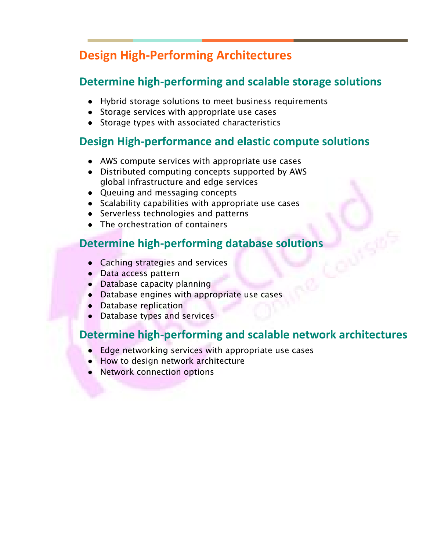# **Design High-Performing Architectures**

## **Determine high-performing and scalable storage solutions**

GE

- Hybrid storage solutions to meet business requirements
- Storage services with appropriate use cases
- Storage types with associated characteristics

#### **Design High-performance and elastic compute solutions**

- AWS compute services with appropriate use cases
- Distributed computing concepts supported by AWS global infrastructure and edge services
- Queuing and messaging concepts
- Scalability capabilities with appropriate use cases
- Serverless technologies and patterns
- The orchestration of containers

#### **Determine high-performing database solutions**

- Caching strategies and services
- Data access pattern
- Database capacity planning
- Database engines with appropriate use cases
- Database replication
- Database types and services

#### **Determine high-performing and scalable network architectures**

- Edge networking services with appropriate use cases
- How to design network architecture
- Network connection options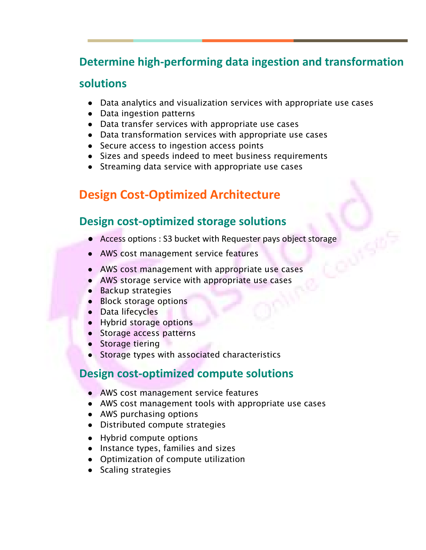## <sup>19</sup> **Determine high-performing data ingestion and transformation**

GE

#### **solutions**

- Data analytics and visualization services with appropriate use cases
- Data ingestion patterns
- Data transfer services with appropriate use cases
- Data transformation services with appropriate use cases
- Secure access to ingestion access points
- Sizes and speeds indeed to meet business requirements
- Streaming data service with appropriate use cases

## **Design Cost-Optimized Architecture**

#### **Design cost-optimized storage solutions**

- Access options : S3 bucket with Requester pays object storage
- AWS cost management service features
- AWS cost management with appropriate use cases
- AWS storage service with appropriate use cases
- Backup strategies
- Block storage options
- Data lifecycles
- Hybrid storage options
- Storage access patterns
- Storage tiering
- Storage types with associated characteristics

#### **Design cost-optimized compute solutions**

- AWS cost management service features
- AWS cost management tools with appropriate use cases
- AWS purchasing options
- Distributed compute strategies
- Hybrid compute options
- Instance types, families and sizes
- Optimization of compute utilization
- Scaling strategies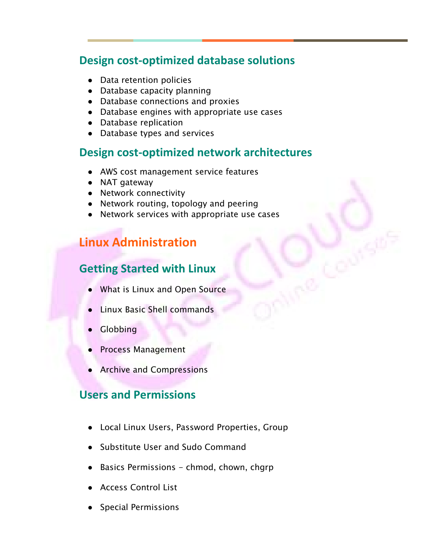#### <sup>19</sup> **Design cost-optimized database solutions**

GE

- Data retention policies
- Database capacity planning
- Database connections and proxies
- Database engines with appropriate use cases
- Database replication
- Database types and services

#### **Design cost-optimized network architectures**

- AWS cost management service features
- NAT gateway
- Network connectivity
- Network routing, topology and peering
- Network services with appropriate use cases

## **Linux Administration**

#### **Getting Started with Linux**

- What is Linux and Open Source
- Linux Basic Shell commands
- Globbing
- Process Management
- **Archive and Compressions**

#### **Users and Permissions**

- Local Linux Users, Password Properties, Group
- Substitute User and Sudo Command
- Basics Permissions chmod, chown, chgrp
- **Access Control List**
- Special Permissions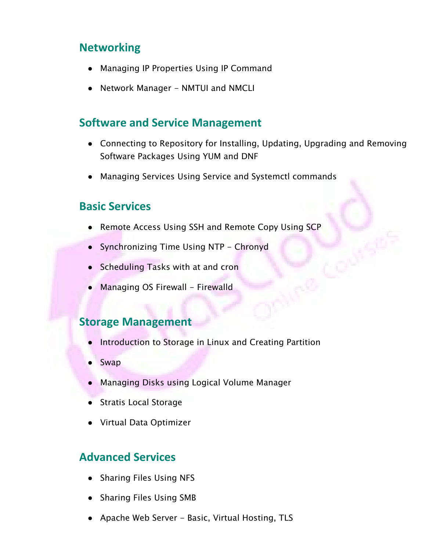#### **Networking**

- Managing IP Properties Using IP Command
- Network Manager NMTUI and NMCLI

#### **Software and Service Management**

- Connecting to Repository for Installing, Updating, Upgrading and Removing Software Packages Using YUM and DNF
- Managing Services Using Service and Systemctl commands

#### **Basic Services**

- Remote Access Using SSH and Remote Copy Using SCP
- Synchronizing Time Using NTP Chronyd
- Scheduling Tasks with at and cron
- Managing OS Firewall Firewalld

#### **Storage Management**

- Introduction to Storage in Linux and Creating Partition
- Swap
- Managing Disks using Logical Volume Manager
- Stratis Local Storage
- Virtual Data Optimizer

#### **Advanced Services**

- Sharing Files Using NFS
- Sharing Files Using SMB
- Apache Web Server Basic, Virtual Hosting, TLS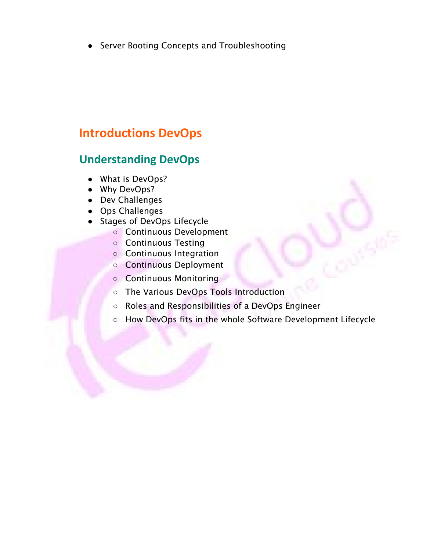● Server Booting Concepts and Troubleshooting

## **Introductions DevOps**

#### **Understanding DevOps**

- What is DevOps?
- Why DevOps?
- Dev Challenges
- Ops Challenges
- Stages of DevOps Lifecycle
	- Continuous Development
	- Continuous Testing
	- Continuous Integration
	- Continuous Deployment
	- Continuous Monitoring
	- The Various DevOps Tools Introduction
	- Roles and Responsibilities of a DevOps Engineer
	- How DevOps fits in the whole Software Development Lifecycle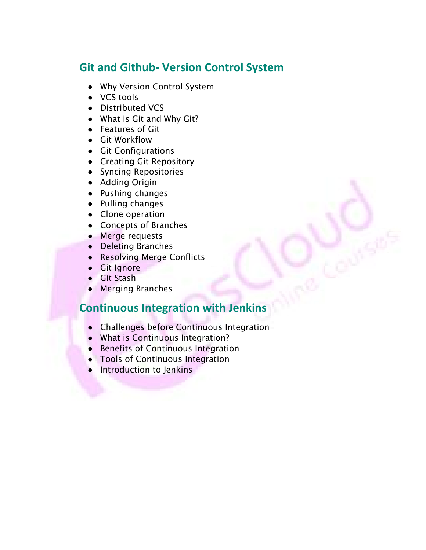#### **Git and Github- Version Control System**

- Why Version Control System
- VCS tools
- Distributed VCS
- What is Git and Why Git?
- Features of Git
- Git Workflow
- Git Configurations
- Creating Git Repository
- Syncing Repositories
- Adding Origin
- Pushing changes
- Pulling changes
- Clone operation
- Concepts of Branches
- Merge requests
- Deleting Branches
- Resolving Merge Conflicts
- Git Ignore
- Git Stash
- Merging Branches

## **Continuous Integration with Jenkins**

- Challenges before Continuous Integration
- What is Continuous Integration?
- Benefits of Continuous Integration
- Tools of Continuous Integration
- Introduction to Jenkins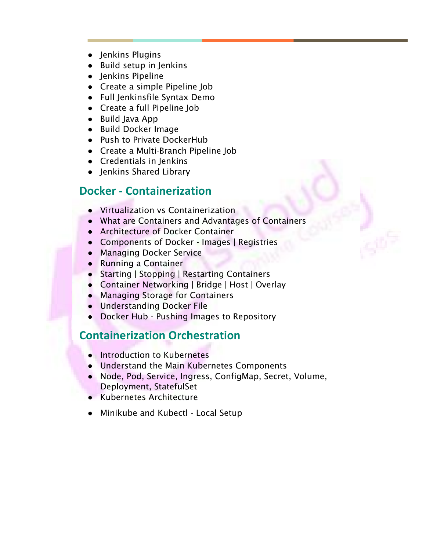- Jenkins Plugins
- Build setup in Jenkins
- Jenkins Pipeline
- Create a simple Pipeline Job
- Full Jenkinsfile Syntax Demo
- Create a full Pipeline Job
- Build Java App
- Build Docker Image
- Push to Private DockerHub
- Create a Multi-Branch Pipeline Job
- Credentials in Jenkins
- Jenkins Shared Library

#### **Docker - Containerization**

- Virtualization vs Containerization
- What are Containers and Advantages of Containers

GE

- Architecture of Docker Container
- Components of Docker Images | Registries
- Managing Docker Service
- Running a Container
- Starting | Stopping | Restarting Containers
- Container Networking | Bridge | Host | Overlay
- Managing Storage for Containers
- Understanding Docker File
- Docker Hub Pushing Images to Repository

#### **Containerization Orchestration**

- Introduction to Kubernetes
- Understand the Main Kubernetes Components
- Node, Pod, Service, Ingress, ConfigMap, Secret, Volume, Deployment, StatefulSet
- Kubernetes Architecture
- Minikube and Kubectl Local Setup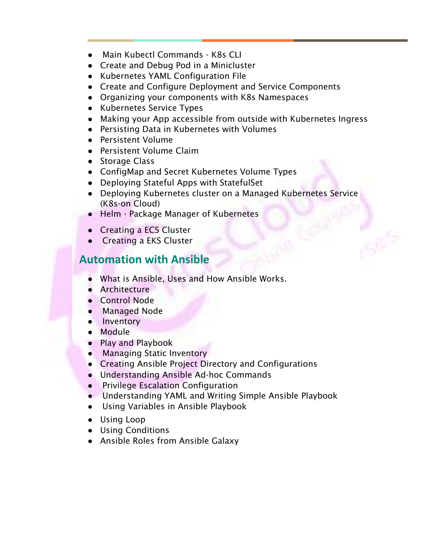- Main Kubectl Commands K8s CLI
- Create and Debug Pod in a Minicluster
- Kubernetes YAML Configuration File
- Create and Configure Deployment and Service Components
- Organizing your components with K8s Namespaces
- Kubernetes Service Types
- Making your App accessible from outside with Kubernetes Ingress

GE

- Persisting Data in Kubernetes with Volumes
- Persistent Volume
- Persistent Volume Claim
- Storage Class
- ConfigMap and Secret Kubernetes Volume Types
- Deploying Stateful Apps with StatefulSet
- Deploying Kubernetes cluster on a Managed Kubernetes Service (K8s-on Cloud)
- Helm Package Manager of Kubernetes
- Creating a ECS Cluster
- Creating a EKS Cluster

#### **Automation with Ansible**

- What is Ansible, Uses and How Ansible Works.
- Architecture
- Control Node
- Managed Node
- Inventory
- Module
- Play and Playbook
- Managing Static Inventory
- Creating Ansible Project Directory and Configurations
- Understanding Ansible Ad-hoc Commands
- Privilege Escalation Configuration
- Understanding YAML and Writing Simple Ansible Playbook
- Using Variables in Ansible Playbook
- Using Loop
- Using Conditions
- Ansible Roles from Ansible Galaxy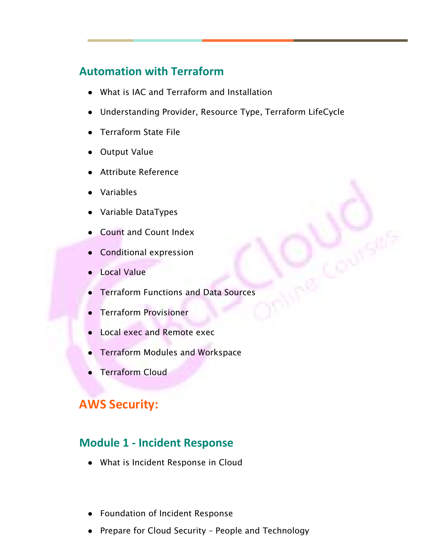## **Automation with Terraform**

- What is IAC and Terraform and Installation
- Understanding Provider, Resource Type, Terraform LifeCycle

GE

- Terraform State File
- Output Value
- Attribute Reference
- **Variables**
- Variable DataTypes
- **Count and Count Index**
- Conditional expression
- **Local Value**
- **Terraform Functions and Data Sources**
- Terraform Provisioner
- **Local exec and Remote exec**
- **Terraform Modules and Workspace**
- **Terraform Cloud**

#### **AWS Security:**

#### **Module 1 - Incident Response**

- What is Incident Response in Cloud
- Foundation of Incident Response
- Prepare for Cloud Security People and Technology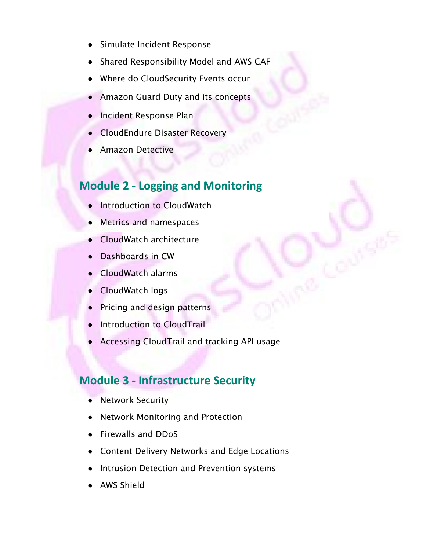- Simulate Incident Response
- Shared Responsibility Model and AWS CAF
- Where do CloudSecurity Events occur
- Amazon Guard Duty and its concepts
- Incident Response Plan
- **CloudEndure Disaster Recovery**
- **Amazon Detective**

#### **Module 2 - Logging and Monitoring**

- **Introduction to CloudWatch**
- Metrics and namespaces
- CloudWatch architecture
- Dashboards in CW
- CloudWatch alarms
- CloudWatch logs
- Pricing and design patterns
- Introduction to CloudTrail
- Accessing CloudTrail and tracking API usage

#### **Module 3 - Infrastructure Security**

- **Network Security**
- Network Monitoring and Protection
- Firewalls and DDoS
- Content Delivery Networks and Edge Locations
- Intrusion Detection and Prevention systems
- AWS Shield